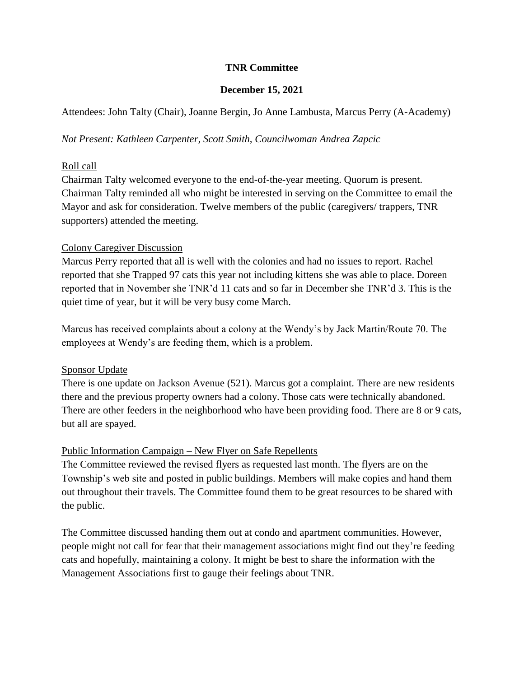### **TNR Committee**

#### **December 15, 2021**

Attendees: John Talty (Chair), Joanne Bergin, Jo Anne Lambusta, Marcus Perry (A-Academy)

#### *Not Present: Kathleen Carpenter, Scott Smith, Councilwoman Andrea Zapcic*

#### Roll call

Chairman Talty welcomed everyone to the end-of-the-year meeting. Quorum is present. Chairman Talty reminded all who might be interested in serving on the Committee to email the Mayor and ask for consideration. Twelve members of the public (caregivers/ trappers, TNR supporters) attended the meeting.

#### Colony Caregiver Discussion

Marcus Perry reported that all is well with the colonies and had no issues to report. Rachel reported that she Trapped 97 cats this year not including kittens she was able to place. Doreen reported that in November she TNR'd 11 cats and so far in December she TNR'd 3. This is the quiet time of year, but it will be very busy come March.

Marcus has received complaints about a colony at the Wendy's by Jack Martin/Route 70. The employees at Wendy's are feeding them, which is a problem.

# Sponsor Update

There is one update on Jackson Avenue (521). Marcus got a complaint. There are new residents there and the previous property owners had a colony. Those cats were technically abandoned. There are other feeders in the neighborhood who have been providing food. There are 8 or 9 cats, but all are spayed.

# Public Information Campaign – New Flyer on Safe Repellents

The Committee reviewed the revised flyers as requested last month. The flyers are on the Township's web site and posted in public buildings. Members will make copies and hand them out throughout their travels. The Committee found them to be great resources to be shared with the public.

The Committee discussed handing them out at condo and apartment communities. However, people might not call for fear that their management associations might find out they're feeding cats and hopefully, maintaining a colony. It might be best to share the information with the Management Associations first to gauge their feelings about TNR.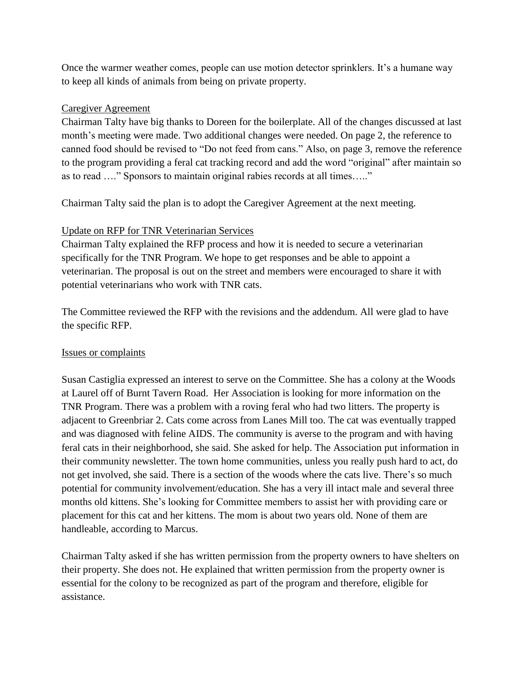Once the warmer weather comes, people can use motion detector sprinklers. It's a humane way to keep all kinds of animals from being on private property.

### Caregiver Agreement

Chairman Talty have big thanks to Doreen for the boilerplate. All of the changes discussed at last month's meeting were made. Two additional changes were needed. On page 2, the reference to canned food should be revised to "Do not feed from cans." Also, on page 3, remove the reference to the program providing a feral cat tracking record and add the word "original" after maintain so as to read …." Sponsors to maintain original rabies records at all times….."

Chairman Talty said the plan is to adopt the Caregiver Agreement at the next meeting.

# Update on RFP for TNR Veterinarian Services

Chairman Talty explained the RFP process and how it is needed to secure a veterinarian specifically for the TNR Program. We hope to get responses and be able to appoint a veterinarian. The proposal is out on the street and members were encouraged to share it with potential veterinarians who work with TNR cats.

The Committee reviewed the RFP with the revisions and the addendum. All were glad to have the specific RFP.

# Issues or complaints

Susan Castiglia expressed an interest to serve on the Committee. She has a colony at the Woods at Laurel off of Burnt Tavern Road. Her Association is looking for more information on the TNR Program. There was a problem with a roving feral who had two litters. The property is adjacent to Greenbriar 2. Cats come across from Lanes Mill too. The cat was eventually trapped and was diagnosed with feline AIDS. The community is averse to the program and with having feral cats in their neighborhood, she said. She asked for help. The Association put information in their community newsletter. The town home communities, unless you really push hard to act, do not get involved, she said. There is a section of the woods where the cats live. There's so much potential for community involvement/education. She has a very ill intact male and several three months old kittens. She's looking for Committee members to assist her with providing care or placement for this cat and her kittens. The mom is about two years old. None of them are handleable, according to Marcus.

Chairman Talty asked if she has written permission from the property owners to have shelters on their property. She does not. He explained that written permission from the property owner is essential for the colony to be recognized as part of the program and therefore, eligible for assistance.